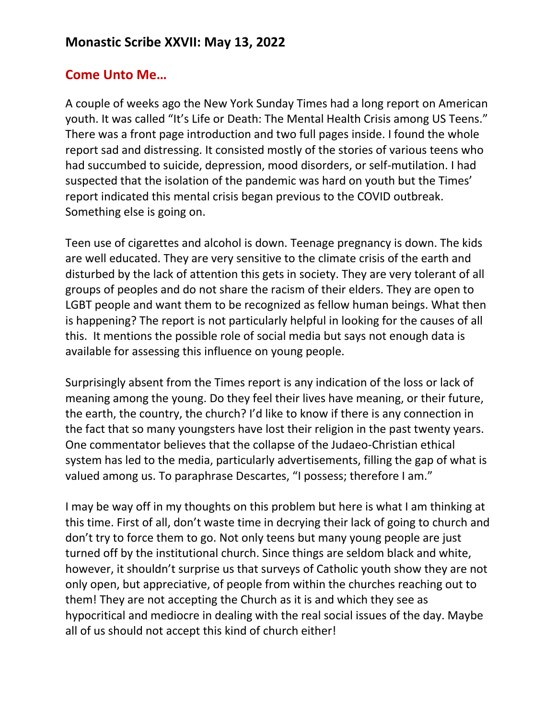## **Monastic Scribe XXVII: May 13, 2022**

## **Come Unto Me…**

A couple of weeks ago the New York Sunday Times had a long report on American youth. It was called "It's Life or Death: The Mental Health Crisis among US Teens." There was a front page introduction and two full pages inside. I found the whole report sad and distressing. It consisted mostly of the stories of various teens who had succumbed to suicide, depression, mood disorders, or self-mutilation. I had suspected that the isolation of the pandemic was hard on youth but the Times' report indicated this mental crisis began previous to the COVID outbreak. Something else is going on.

Teen use of cigarettes and alcohol is down. Teenage pregnancy is down. The kids are well educated. They are very sensitive to the climate crisis of the earth and disturbed by the lack of attention this gets in society. They are very tolerant of all groups of peoples and do not share the racism of their elders. They are open to LGBT people and want them to be recognized as fellow human beings. What then is happening? The report is not particularly helpful in looking for the causes of all this. It mentions the possible role of social media but says not enough data is available for assessing this influence on young people.

Surprisingly absent from the Times report is any indication of the loss or lack of meaning among the young. Do they feel their lives have meaning, or their future, the earth, the country, the church? I'd like to know if there is any connection in the fact that so many youngsters have lost their religion in the past twenty years. One commentator believes that the collapse of the Judaeo-Christian ethical system has led to the media, particularly advertisements, filling the gap of what is valued among us. To paraphrase Descartes, "I possess; therefore I am."

I may be way off in my thoughts on this problem but here is what I am thinking at this time. First of all, don't waste time in decrying their lack of going to church and don't try to force them to go. Not only teens but many young people are just turned off by the institutional church. Since things are seldom black and white, however, it shouldn't surprise us that surveys of Catholic youth show they are not only open, but appreciative, of people from within the churches reaching out to them! They are not accepting the Church as it is and which they see as hypocritical and mediocre in dealing with the real social issues of the day. Maybe all of us should not accept this kind of church either!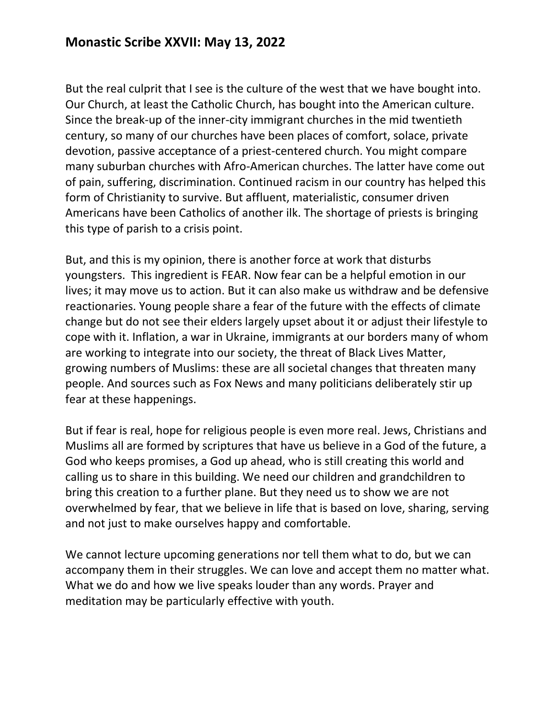But the real culprit that I see is the culture of the west that we have bought into. Our Church, at least the Catholic Church, has bought into the American culture. Since the break-up of the inner-city immigrant churches in the mid twentieth century, so many of our churches have been places of comfort, solace, private devotion, passive acceptance of a priest-centered church. You might compare many suburban churches with Afro-American churches. The latter have come out of pain, suffering, discrimination. Continued racism in our country has helped this form of Christianity to survive. But affluent, materialistic, consumer driven Americans have been Catholics of another ilk. The shortage of priests is bringing this type of parish to a crisis point.

But, and this is my opinion, there is another force at work that disturbs youngsters. This ingredient is FEAR. Now fear can be a helpful emotion in our lives; it may move us to action. But it can also make us withdraw and be defensive reactionaries. Young people share a fear of the future with the effects of climate change but do not see their elders largely upset about it or adjust their lifestyle to cope with it. Inflation, a war in Ukraine, immigrants at our borders many of whom are working to integrate into our society, the threat of Black Lives Matter, growing numbers of Muslims: these are all societal changes that threaten many people. And sources such as Fox News and many politicians deliberately stir up fear at these happenings.

But if fear is real, hope for religious people is even more real. Jews, Christians and Muslims all are formed by scriptures that have us believe in a God of the future, a God who keeps promises, a God up ahead, who is still creating this world and calling us to share in this building. We need our children and grandchildren to bring this creation to a further plane. But they need us to show we are not overwhelmed by fear, that we believe in life that is based on love, sharing, serving and not just to make ourselves happy and comfortable.

We cannot lecture upcoming generations nor tell them what to do, but we can accompany them in their struggles. We can love and accept them no matter what. What we do and how we live speaks louder than any words. Prayer and meditation may be particularly effective with youth.